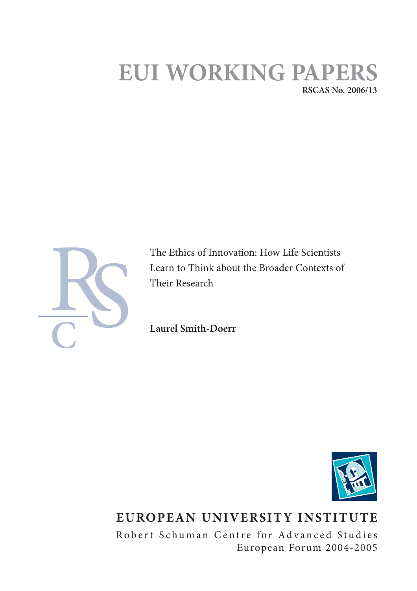## **EUI WORKING PAPE RSCAS No. 2006/13**



The Ethics of Innovation: How Life Scientists Learn to Think about the Broader Contexts of Their Research

**Laurel Smith-Doerr**



# **EUROPEAN UNIVERSITY INSTITUTE**

Robert Schuman Centre for Advanced Studies European Forum 2004-2005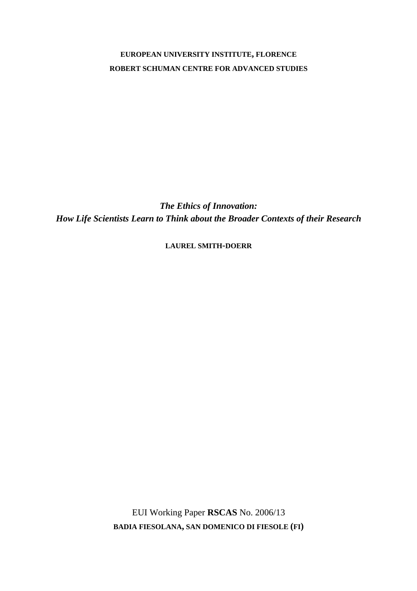### **EUROPEAN UNIVERSITY INSTITUTE, FLORENCE ROBERT SCHUMAN CENTRE FOR ADVANCED STUDIES**

*The Ethics of Innovation: How Life Scientists Learn to Think about the Broader Contexts of their Research* 

**LAUREL SMITH-DOERR**

EUI Working Paper **RSCAS** No. 2006/13 **BADIA FIESOLANA, SAN DOMENICO DI FIESOLE (FI)**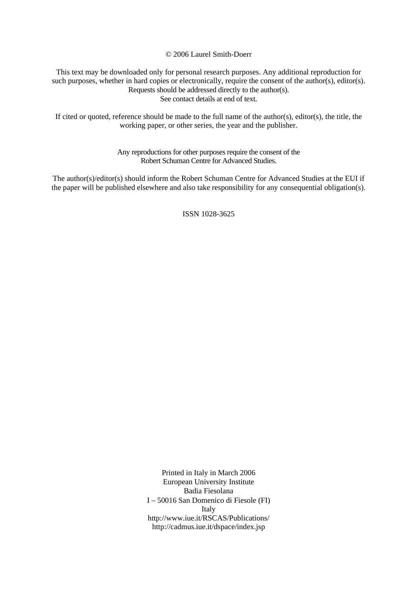© 2006 Laurel Smith-Doerr

This text may be downloaded only for personal research purposes. Any additional reproduction for such purposes, whether in hard copies or electronically, require the consent of the author(s), editor(s). Requests should be addressed directly to the author(s). See contact details at end of text.

If cited or quoted, reference should be made to the full name of the author(s), editor(s), the title, the working paper, or other series, the year and the publisher.

> Any reproductions for other purposes require the consent of the Robert Schuman Centre for Advanced Studies.

The author(s)/editor(s) should inform the Robert Schuman Centre for Advanced Studies at the EUI if the paper will be published elsewhere and also take responsibility for any consequential obligation(s).

ISSN 1028-3625

Printed in Italy in March 2006 European University Institute Badia Fiesolana I – 50016 San Domenico di Fiesole (FI) Italy http://www.iue.it/RSCAS/Publications/ http://cadmus.iue.it/dspace/index.jsp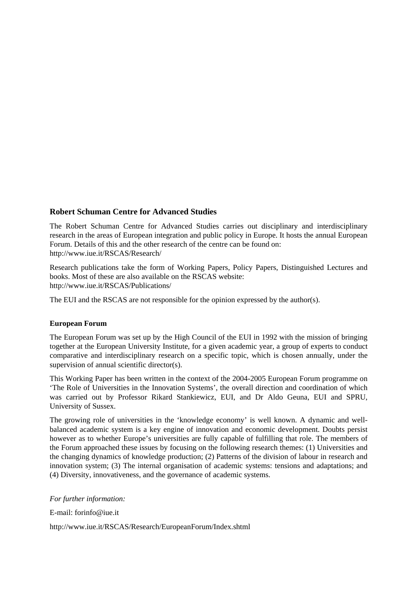#### **Robert Schuman Centre for Advanced Studies**

The Robert Schuman Centre for Advanced Studies carries out disciplinary and interdisciplinary research in the areas of European integration and public policy in Europe. It hosts the annual European Forum. Details of this and the other research of the centre can be found on: http://www.iue.it/RSCAS/Research/

Research publications take the form of Working Papers, Policy Papers, Distinguished Lectures and books. Most of these are also available on the RSCAS website: http://www.iue.it/RSCAS/Publications/

The EUI and the RSCAS are not responsible for the opinion expressed by the author(s).

#### **European Forum**

The European Forum was set up by the High Council of the EUI in 1992 with the mission of bringing together at the European University Institute, for a given academic year, a group of experts to conduct comparative and interdisciplinary research on a specific topic, which is chosen annually, under the supervision of annual scientific director(s).

This Working Paper has been written in the context of the 2004-2005 European Forum programme on 'The Role of Universities in the Innovation Systems', the overall direction and coordination of which was carried out by Professor Rikard Stankiewicz, EUI, and Dr Aldo Geuna, EUI and SPRU, University of Sussex.

The growing role of universities in the 'knowledge economy' is well known. A dynamic and wellbalanced academic system is a key engine of innovation and economic development. Doubts persist however as to whether Europe's universities are fully capable of fulfilling that role. The members of the Forum approached these issues by focusing on the following research themes: (1) Universities and the changing dynamics of knowledge production; (2) Patterns of the division of labour in research and innovation system; (3) The internal organisation of academic systems: tensions and adaptations; and (4) Diversity, innovativeness, and the governance of academic systems.

#### *For further information:*

E-mail: forinfo@iue.it

http://www.iue.it/RSCAS/Research/EuropeanForum/Index.shtml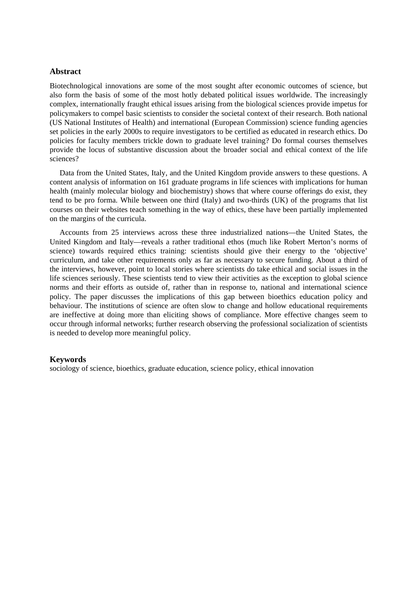#### **Abstract**

Biotechnological innovations are some of the most sought after economic outcomes of science, but also form the basis of some of the most hotly debated political issues worldwide. The increasingly complex, internationally fraught ethical issues arising from the biological sciences provide impetus for policymakers to compel basic scientists to consider the societal context of their research. Both national (US National Institutes of Health) and international (European Commission) science funding agencies set policies in the early 2000s to require investigators to be certified as educated in research ethics. Do policies for faculty members trickle down to graduate level training? Do formal courses themselves provide the locus of substantive discussion about the broader social and ethical context of the life sciences?

Data from the United States, Italy, and the United Kingdom provide answers to these questions. A content analysis of information on 161 graduate programs in life sciences with implications for human health (mainly molecular biology and biochemistry) shows that where course offerings do exist, they tend to be pro forma. While between one third (Italy) and two-thirds (UK) of the programs that list courses on their websites teach something in the way of ethics, these have been partially implemented on the margins of the curricula.

Accounts from 25 interviews across these three industrialized nations—the United States, the United Kingdom and Italy—reveals a rather traditional ethos (much like Robert Merton's norms of science) towards required ethics training: scientists should give their energy to the 'objective' curriculum, and take other requirements only as far as necessary to secure funding. About a third of the interviews, however, point to local stories where scientists do take ethical and social issues in the life sciences seriously. These scientists tend to view their activities as the exception to global science norms and their efforts as outside of, rather than in response to, national and international science policy. The paper discusses the implications of this gap between bioethics education policy and behaviour. The institutions of science are often slow to change and hollow educational requirements are ineffective at doing more than eliciting shows of compliance. More effective changes seem to occur through informal networks; further research observing the professional socialization of scientists is needed to develop more meaningful policy.

#### **Keywords**

sociology of science, bioethics, graduate education, science policy, ethical innovation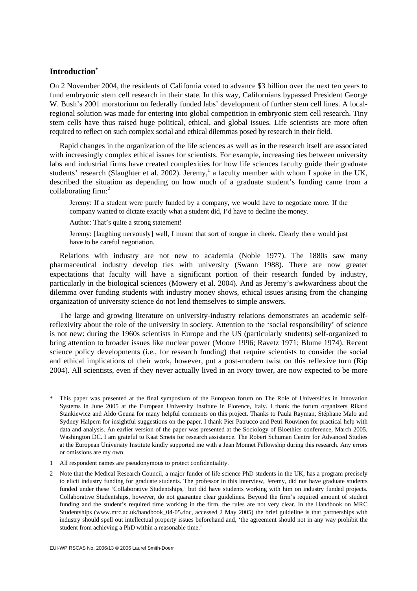#### **Introduction\***

 $\overline{a}$ 

On 2 November 2004, the residents of California voted to advance \$3 billion over the next ten years to fund embryonic stem cell research in their state. In this way, Californians bypassed President George W. Bush's 2001 moratorium on federally funded labs' development of further stem cell lines. A localregional solution was made for entering into global competition in embryonic stem cell research. Tiny stem cells have thus raised huge political, ethical, and global issues. Life scientists are more often required to reflect on such complex social and ethical dilemmas posed by research in their field.

Rapid changes in the organization of the life sciences as well as in the research itself are associated with increasingly complex ethical issues for scientists. For example, increasing ties between university labs and industrial firms have created complexities for how life sciences faculty guide their graduate students' research (Slaughter et al. 2002). Jeremy,<sup>1</sup> a faculty member with whom I spoke in the UK, described the situation as depending on how much of a graduate student's funding came from a collaborating firm:<sup>2</sup>

Jeremy: If a student were purely funded by a company, we would have to negotiate more. If the company wanted to dictate exactly what a student did, I'd have to decline the money.

Author: That's quite a strong statement!

Jeremy: [laughing nervously] well, I meant that sort of tongue in cheek. Clearly there would just have to be careful negotiation.

Relations with industry are not new to academia (Noble 1977). The 1880s saw many pharmaceutical industry develop ties with university (Swann 1988). There are now greater expectations that faculty will have a significant portion of their research funded by industry, particularly in the biological sciences (Mowery et al. 2004). And as Jeremy's awkwardness about the dilemma over funding students with industry money shows, ethical issues arising from the changing organization of university science do not lend themselves to simple answers.

The large and growing literature on university-industry relations demonstrates an academic selfreflexivity about the role of the university in society. Attention to the 'social responsibility' of science is not new: during the 1960s scientists in Europe and the US (particularly students) self-organized to bring attention to broader issues like nuclear power (Moore 1996; Ravetz 1971; Blume 1974). Recent science policy developments (i.e., for research funding) that require scientists to consider the social and ethical implications of their work, however, put a post-modern twist on this reflexive turn (Rip 2004). All scientists, even if they never actually lived in an ivory tower, are now expected to be more

<sup>\*</sup> This paper was presented at the final symposium of the European forum on The Role of Universities in Innovation Systems in June 2005 at the European University Institute in Florence, Italy. I thank the forum organizers Rikard Stankiewicz and Aldo Geuna for many helpful comments on this project. Thanks to Paula Rayman, Stéphane Malo and Sydney Halpern for insightful suggestions on the paper. I thank Pier Patrucco and Petri Rouvinen for practical help with data and analysis. An earlier version of the paper was presented at the Sociology of Bioethics conference, March 2005, Washington DC. I am grateful to Kaat Smets for research assistance. The Robert Schuman Centre for Advanced Studies at the European University Institute kindly supported me with a Jean Monnet Fellowship during this research. Any errors or omissions are my own.

<sup>1</sup> All respondent names are pseudonymous to protect confidentiality.

<sup>2</sup> Note that the Medical Research Council, a major funder of life science PhD students in the UK, has a program precisely to elicit industry funding for graduate students. The professor in this interview, Jeremy, did not have graduate students funded under these 'Collaborative Studentships,' but did have students working with him on industry funded projects. Collaborative Studentships, however, do not guarantee clear guidelines. Beyond the firm's required amount of student funding and the student's required time working in the firm, the rules are not very clear. In the Handbook on MRC Studentships (www.mrc.ac.uk/handbook 04-05.doc, accessed 2 May 2005) the brief guideline is that partnerships with industry should spell out intellectual property issues beforehand and, 'the agreement should not in any way prohibit the student from achieving a PhD within a reasonable time.'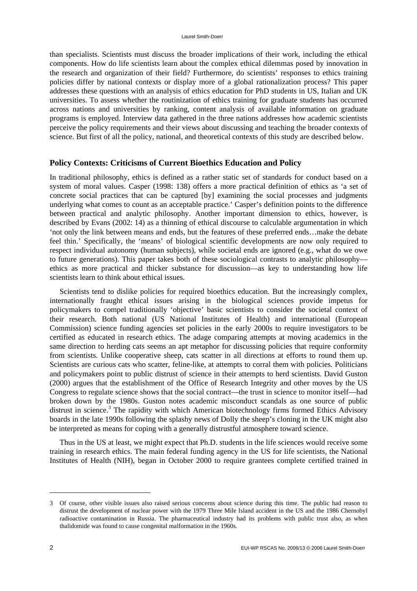than specialists. Scientists must discuss the broader implications of their work, including the ethical components. How do life scientists learn about the complex ethical dilemmas posed by innovation in the research and organization of their field? Furthermore, do scientists' responses to ethics training policies differ by national contexts or display more of a global rationalization process? This paper addresses these questions with an analysis of ethics education for PhD students in US, Italian and UK universities. To assess whether the routinization of ethics training for graduate students has occurred across nations and universities by ranking, content analysis of available information on graduate programs is employed. Interview data gathered in the three nations addresses how academic scientists perceive the policy requirements and their views about discussing and teaching the broader contexts of science. But first of all the policy, national, and theoretical contexts of this study are described below.

#### **Policy Contexts: Criticisms of Current Bioethics Education and Policy**

In traditional philosophy, ethics is defined as a rather static set of standards for conduct based on a system of moral values. Casper (1998: 138) offers a more practical definition of ethics as 'a set of concrete social practices that can be captured [by] examining the social processes and judgments underlying what comes to count as an acceptable practice.' Casper's definition points to the difference between practical and analytic philosophy. Another important dimension to ethics, however, is described by Evans (2002: 14) as a thinning of ethical discourse to calculable argumentation in which 'not only the link between means and ends, but the features of these preferred ends…make the debate feel thin.' Specifically, the 'means' of biological scientific developments are now only required to respect individual autonomy (human subjects), while societal ends are ignored (e.g., what do we owe to future generations). This paper takes both of these sociological contrasts to analytic philosophy ethics as more practical and thicker substance for discussion—as key to understanding how life scientists learn to think about ethical issues.

Scientists tend to dislike policies for required bioethics education. But the increasingly complex, internationally fraught ethical issues arising in the biological sciences provide impetus for policymakers to compel traditionally 'objective' basic scientists to consider the societal context of their research. Both national (US National Institutes of Health) and international (European Commission) science funding agencies set policies in the early 2000s to require investigators to be certified as educated in research ethics. The adage comparing attempts at moving academics in the same direction to herding cats seems an apt metaphor for discussing policies that require conformity from scientists. Unlike cooperative sheep, cats scatter in all directions at efforts to round them up. Scientists are curious cats who scatter, feline-like, at attempts to corral them with policies. Politicians and policymakers point to public distrust of science in their attempts to herd scientists. David Guston (2000) argues that the establishment of the Office of Research Integrity and other moves by the US Congress to regulate science shows that the social contract—the trust in science to monitor itself—had broken down by the 1980s. Guston notes academic misconduct scandals as one source of public distrust in science.<sup>3</sup> The rapidity with which American biotechnology firms formed Ethics Advisory boards in the late 1990s following the splashy news of Dolly the sheep's cloning in the UK might also be interpreted as means for coping with a generally distrustful atmosphere toward science.

Thus in the US at least, we might expect that Ph.D. students in the life sciences would receive some training in research ethics. The main federal funding agency in the US for life scientists, the National Institutes of Health (NIH), began in October 2000 to require grantees complete certified trained in

<sup>3</sup> Of course, other visible issues also raised serious concerns about science during this time. The public had reason to distrust the development of nuclear power with the 1979 Three Mile Island accident in the US and the 1986 Chernobyl radioactive contamination in Russia. The pharmaceutical industry had its problems with public trust also, as when thalidomide was found to cause congenital malformation in the 1960s.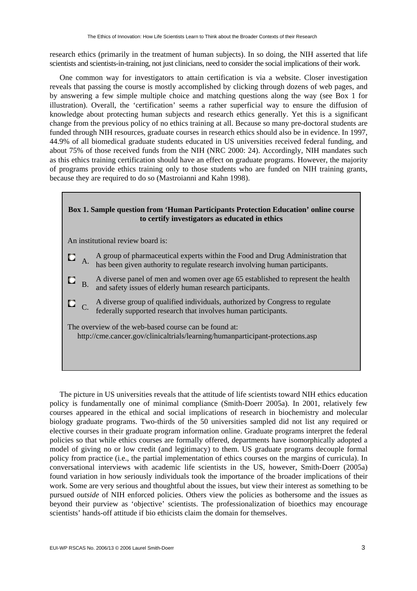research ethics (primarily in the treatment of human subjects). In so doing, the NIH asserted that life scientists and scientists-in-training, not just clinicians, need to consider the social implications of their work.

One common way for investigators to attain certification is via a website. Closer investigation reveals that passing the course is mostly accomplished by clicking through dozens of web pages, and by answering a few simple multiple choice and matching questions along the way (see Box 1 for illustration). Overall, the 'certification' seems a rather superficial way to ensure the diffusion of knowledge about protecting human subjects and research ethics generally. Yet this is a significant change from the previous policy of no ethics training at all. Because so many pre-doctoral students are funded through NIH resources, graduate courses in research ethics should also be in evidence. In 1997, 44.9% of all biomedical graduate students educated in US universities received federal funding, and about 75% of those received funds from the NIH (NRC 2000: 24). Accordingly, NIH mandates such as this ethics training certification should have an effect on graduate programs. However, the majority of programs provide ethics training only to those students who are funded on NIH training grants, because they are required to do so (Mastroianni and Kahn 1998).

### **Box 1. Sample question from 'Human Participants Protection Education' online course to certify investigators as educated in ethics**  An institutional review board is: A. A group of pharmaceutical experts within the Food and Drug Administration that o has been given authority to regulate research involving human participants.  $\blacksquare$  A diverse panel of men and women over age 65 established to represent the health and safety issues of elderly human research participants. C. A diverse group of qualified individuals, authorized by Congress to regulate federally supported research that involves human participants. The overview of the web-based course can be found at: http://cme.cancer.gov/clinicaltrials/learning/humanparticipant-protections.asp

The picture in US universities reveals that the attitude of life scientists toward NIH ethics education policy is fundamentally one of minimal compliance (Smith-Doerr 2005a). In 2001, relatively few courses appeared in the ethical and social implications of research in biochemistry and molecular biology graduate programs. Two-thirds of the 50 universities sampled did not list any required or elective courses in their graduate program information online. Graduate programs interpret the federal policies so that while ethics courses are formally offered, departments have isomorphically adopted a model of giving no or low credit (and legitimacy) to them. US graduate programs decouple formal policy from practice (i.e., the partial implementation of ethics courses on the margins of curricula). In conversational interviews with academic life scientists in the US, however, Smith-Doerr (2005a) found variation in how seriously individuals took the importance of the broader implications of their work. Some are very serious and thoughtful about the issues, but view their interest as something to be pursued *outside* of NIH enforced policies. Others view the policies as bothersome and the issues as beyond their purview as 'objective' scientists. The professionalization of bioethics may encourage scientists' hands-off attitude if bio ethicists claim the domain for themselves.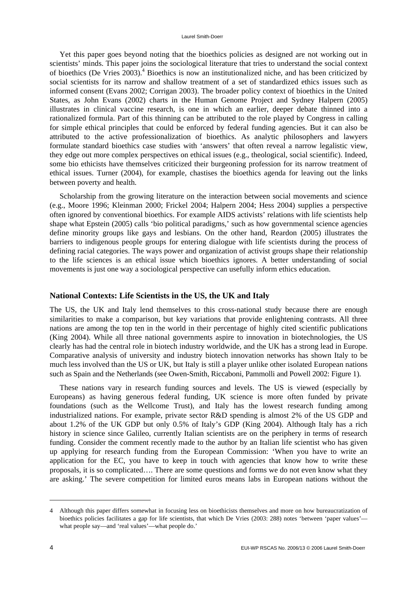Yet this paper goes beyond noting that the bioethics policies as designed are not working out in scientists' minds. This paper joins the sociological literature that tries to understand the social context of bioethics (De Vries 2003).<sup>4</sup> Bioethics is now an institutionalized niche, and has been criticized by social scientists for its narrow and shallow treatment of a set of standardized ethics issues such as informed consent (Evans 2002; Corrigan 2003). The broader policy context of bioethics in the United States, as John Evans (2002) charts in the Human Genome Project and Sydney Halpern (2005) illustrates in clinical vaccine research, is one in which an earlier, deeper debate thinned into a rationalized formula. Part of this thinning can be attributed to the role played by Congress in calling for simple ethical principles that could be enforced by federal funding agencies. But it can also be attributed to the active professionalization of bioethics. As analytic philosophers and lawyers formulate standard bioethics case studies with 'answers' that often reveal a narrow legalistic view, they edge out more complex perspectives on ethical issues (e.g., theological, social scientific). Indeed, some bio ethicists have themselves criticized their burgeoning profession for its narrow treatment of ethical issues. Turner (2004), for example, chastises the bioethics agenda for leaving out the links between poverty and health.

Scholarship from the growing literature on the interaction between social movements and science (e.g., Moore 1996; Kleinman 2000; Frickel 2004; Halpern 2004; Hess 2004) supplies a perspective often ignored by conventional bioethics. For example AIDS activists' relations with life scientists help shape what Epstein (2005) calls 'bio political paradigms,' such as how governmental science agencies define minority groups like gays and lesbians. On the other hand, Reardon (2005) illustrates the barriers to indigenous people groups for entering dialogue with life scientists during the process of defining racial categories. The ways power and organization of activist groups shape their relationship to the life sciences is an ethical issue which bioethics ignores. A better understanding of social movements is just one way a sociological perspective can usefully inform ethics education.

#### **National Contexts: Life Scientists in the US, the UK and Italy**

The US, the UK and Italy lend themselves to this cross-national study because there are enough similarities to make a comparison, but key variations that provide enlightening contrasts. All three nations are among the top ten in the world in their percentage of highly cited scientific publications (King 2004). While all three national governments aspire to innovation in biotechnologies, the US clearly has had the central role in biotech industry worldwide, and the UK has a strong lead in Europe. Comparative analysis of university and industry biotech innovation networks has shown Italy to be much less involved than the US or UK, but Italy is still a player unlike other isolated European nations such as Spain and the Netherlands (see Owen-Smith, Riccaboni, Pammolli and Powell 2002: Figure 1).

These nations vary in research funding sources and levels. The US is viewed (especially by Europeans) as having generous federal funding, UK science is more often funded by private foundations (such as the Wellcome Trust), and Italy has the lowest research funding among industrialized nations. For example, private sector R&D spending is almost 2% of the US GDP and about 1.2% of the UK GDP but only 0.5% of Italy's GDP (King 2004). Although Italy has a rich history in science since Galileo, currently Italian scientists are on the periphery in terms of research funding. Consider the comment recently made to the author by an Italian life scientist who has given up applying for research funding from the European Commission: 'When you have to write an application for the EC, you have to keep in touch with agencies that know how to write these proposals, it is so complicated…. There are some questions and forms we do not even know what they are asking.' The severe competition for limited euros means labs in European nations without the

<sup>4</sup> Although this paper differs somewhat in focusing less on bioethicists themselves and more on how bureaucratization of bioethics policies facilitates a gap for life scientists, that which De Vries (2003: 288) notes 'between 'paper values'what people say—and 'real values'—what people do.'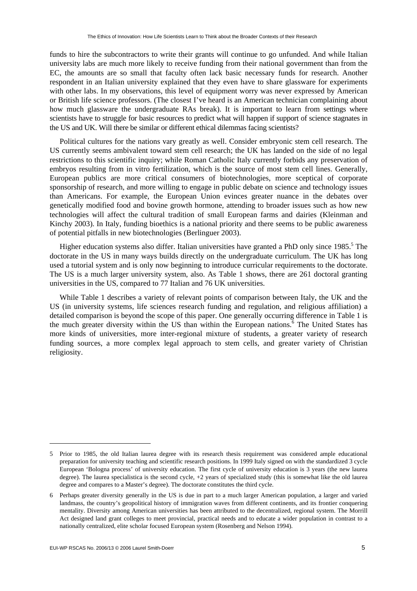funds to hire the subcontractors to write their grants will continue to go unfunded. And while Italian university labs are much more likely to receive funding from their national government than from the EC, the amounts are so small that faculty often lack basic necessary funds for research. Another respondent in an Italian university explained that they even have to share glassware for experiments with other labs. In my observations, this level of equipment worry was never expressed by American or British life science professors. (The closest I've heard is an American technician complaining about how much glassware the undergraduate RAs break). It is important to learn from settings where scientists have to struggle for basic resources to predict what will happen if support of science stagnates in the US and UK. Will there be similar or different ethical dilemmas facing scientists?

Political cultures for the nations vary greatly as well. Consider embryonic stem cell research. The US currently seems ambivalent toward stem cell research; the UK has landed on the side of no legal restrictions to this scientific inquiry; while Roman Catholic Italy currently forbids any preservation of embryos resulting from in vitro fertilization, which is the source of most stem cell lines. Generally, European publics are more critical consumers of biotechnologies, more sceptical of corporate sponsorship of research, and more willing to engage in public debate on science and technology issues than Americans. For example, the European Union evinces greater nuance in the debates over genetically modified food and bovine growth hormone, attending to broader issues such as how new technologies will affect the cultural tradition of small European farms and dairies (Kleinman and Kinchy 2003). In Italy, funding bioethics is a national priority and there seems to be public awareness of potential pitfalls in new biotechnologies (Berlinguer 2003).

Higher education systems also differ. Italian universities have granted a PhD only since 1985.<sup>5</sup> The doctorate in the US in many ways builds directly on the undergraduate curriculum. The UK has long used a tutorial system and is only now beginning to introduce curricular requirements to the doctorate. The US is a much larger university system, also. As Table 1 shows, there are 261 doctoral granting universities in the US, compared to 77 Italian and 76 UK universities.

While Table 1 describes a variety of relevant points of comparison between Italy, the UK and the US (in university systems, life sciences research funding and regulation, and religious affiliation) a detailed comparison is beyond the scope of this paper. One generally occurring difference in Table 1 is the much greater diversity within the US than within the European nations.<sup>6</sup> The United States has more kinds of universities, more inter-regional mixture of students, a greater variety of research funding sources, a more complex legal approach to stem cells, and greater variety of Christian religiosity.

<sup>5</sup> Prior to 1985, the old Italian laurea degree with its research thesis requirement was considered ample educational preparation for university teaching and scientific research positions. In 1999 Italy signed on with the standardized 3 cycle European 'Bologna process' of university education. The first cycle of university education is 3 years (the new laurea degree). The laurea specialistica is the second cycle, +2 years of specialized study (this is somewhat like the old laurea degree and compares to a Master's degree). The doctorate constitutes the third cycle.

<sup>6</sup> Perhaps greater diversity generally in the US is due in part to a much larger American population, a larger and varied landmass, the country's geopolitical history of immigration waves from different continents, and its frontier conquering mentality. Diversity among American universities has been attributed to the decentralized, regional system. The Morrill Act designed land grant colleges to meet provincial, practical needs and to educate a wider population in contrast to a nationally centralized, elite scholar focused European system (Rosenberg and Nelson 1994).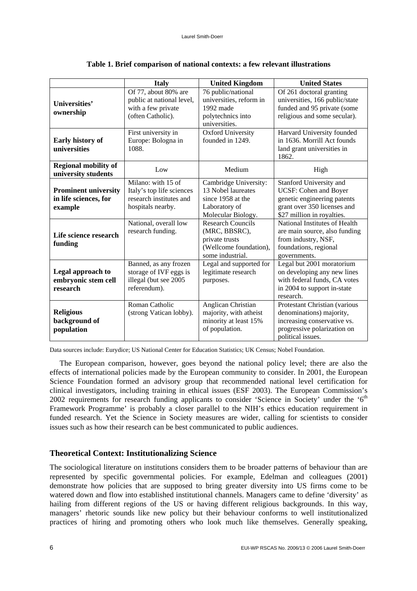|                                                                 | <b>Italy</b>                                                                                    | <b>United Kingdom</b>                                                                                     | <b>United States</b>                                                                                                                                |  |  |
|-----------------------------------------------------------------|-------------------------------------------------------------------------------------------------|-----------------------------------------------------------------------------------------------------------|-----------------------------------------------------------------------------------------------------------------------------------------------------|--|--|
| Universities'<br>ownership                                      | Of 77, about 80% are<br>public at national level,<br>with a few private<br>(often Catholic).    | 76 public/national<br>universities, reform in<br>1992 made<br>polytechnics into<br>universities.          | Of 261 doctoral granting<br>universities, 166 public/state<br>funded and 95 private (some<br>religious and some secular).                           |  |  |
| Early history of<br>universities                                | First university in<br>Europe: Bologna in<br>1088.                                              | Oxford University<br>founded in 1249.                                                                     | Harvard University founded<br>in 1636. Morrill Act founds<br>land grant universities in<br>1862.                                                    |  |  |
| <b>Regional mobility of</b><br>university students              | Low                                                                                             | Medium                                                                                                    | High                                                                                                                                                |  |  |
| <b>Prominent university</b><br>in life sciences, for<br>example | Milano: with 15 of<br>Italy's top life sciences<br>research institutes and<br>hospitals nearby. | Cambridge University:<br>13 Nobel laureates<br>since 1958 at the<br>Laboratory of<br>Molecular Biology.   | Stanford University and<br><b>UCSF: Cohen and Boyer</b><br>genetic engineering patents<br>grant over 350 licenses and<br>\$27 million in royalties. |  |  |
| Life science research<br>funding                                | National, overall low<br>research funding.                                                      | <b>Research Councils</b><br>(MRC, BBSRC),<br>private trusts<br>(Wellcome foundation),<br>some industrial. | National Institutes of Health<br>are main source, also funding<br>from industry, NSF,<br>foundations, regional<br>governments.                      |  |  |
| Legal approach to<br>embryonic stem cell<br>research            | Banned, as any frozen<br>storage of IVF eggs is<br>illegal (but see 2005<br>referendum).        | Legal and supported for<br>legitimate research<br>purposes.                                               | Legal but 2001 moratorium<br>on developing any new lines<br>with federal funds, CA votes<br>in 2004 to support in-state<br>research.                |  |  |
| <b>Religious</b><br>background of<br>population                 | Roman Catholic<br>(strong Vatican lobby).                                                       | Anglican Christian<br>majority, with atheist<br>minority at least 15%<br>of population.                   | Protestant Christian (various<br>denominations) majority,<br>increasing conservative vs.<br>progressive polarization on<br>political issues.        |  |  |

#### **Table 1. Brief comparison of national contexts: a few relevant illustrations**

Data sources include: Eurydice; US National Center for Education Statistics; UK Census; Nobel Foundation.

The European comparison, however, goes beyond the national policy level; there are also the effects of international policies made by the European community to consider. In 2001, the European Science Foundation formed an advisory group that recommended national level certification for clinical investigators, including training in ethical issues (ESF 2003). The European Commission's 2002 requirements for research funding applicants to consider 'Science in Society' under the '6<sup>th</sup> Framework Programme' is probably a closer parallel to the NIH's ethics education requirement in funded research. Yet the Science in Society measures are wider, calling for scientists to consider issues such as how their research can be best communicated to public audiences.

#### **Theoretical Context: Institutionalizing Science**

The sociological literature on institutions considers them to be broader patterns of behaviour than are represented by specific governmental policies. For example, Edelman and colleagues (2001) demonstrate how policies that are supposed to bring greater diversity into US firms come to be watered down and flow into established institutional channels. Managers came to define 'diversity' as hailing from different regions of the US or having different religious backgrounds. In this way, managers' rhetoric sounds like new policy but their behaviour conforms to well institutionalized practices of hiring and promoting others who look much like themselves. Generally speaking,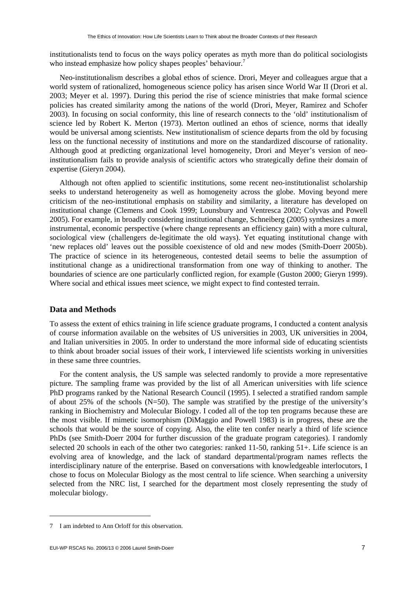institutionalists tend to focus on the ways policy operates as myth more than do political sociologists who instead emphasize how policy shapes peoples' behaviour.<sup>7</sup>

Neo-institutionalism describes a global ethos of science. Drori, Meyer and colleagues argue that a world system of rationalized, homogeneous science policy has arisen since World War II (Drori et al. 2003; Meyer et al. 1997). During this period the rise of science ministries that make formal science policies has created similarity among the nations of the world (Drori, Meyer, Ramirez and Schofer 2003). In focusing on social conformity, this line of research connects to the 'old' institutionalism of science led by Robert K. Merton (1973). Merton outlined an ethos of science, norms that ideally would be universal among scientists. New institutionalism of science departs from the old by focusing less on the functional necessity of institutions and more on the standardized discourse of rationality. Although good at predicting organizational level homogeneity, Drori and Meyer's version of neoinstitutionalism fails to provide analysis of scientific actors who strategically define their domain of expertise (Gieryn 2004).

Although not often applied to scientific institutions, some recent neo-institutionalist scholarship seeks to understand heterogeneity as well as homogeneity across the globe. Moving beyond mere criticism of the neo-institutional emphasis on stability and similarity, a literature has developed on institutional change (Clemens and Cook 1999; Lounsbury and Ventresca 2002; Colyvas and Powell 2005). For example, in broadly considering institutional change, Schneiberg (2005) synthesizes a more instrumental, economic perspective (where change represents an efficiency gain) with a more cultural, sociological view (challengers de-legitimate the old ways). Yet equating institutional change with 'new replaces old' leaves out the possible coexistence of old and new modes (Smith-Doerr 2005b). The practice of science in its heterogeneous, contested detail seems to belie the assumption of institutional change as a unidirectional transformation from one way of thinking to another. The boundaries of science are one particularly conflicted region, for example (Guston 2000; Gieryn 1999). Where social and ethical issues meet science, we might expect to find contested terrain.

#### **Data and Methods**

To assess the extent of ethics training in life science graduate programs, I conducted a content analysis of course information available on the websites of US universities in 2003, UK universities in 2004, and Italian universities in 2005. In order to understand the more informal side of educating scientists to think about broader social issues of their work, I interviewed life scientists working in universities in these same three countries.

For the content analysis, the US sample was selected randomly to provide a more representative picture. The sampling frame was provided by the list of all American universities with life science PhD programs ranked by the National Research Council (1995). I selected a stratified random sample of about 25% of the schools (N=50). The sample was stratified by the prestige of the university's ranking in Biochemistry and Molecular Biology. I coded all of the top ten programs because these are the most visible. If mimetic isomorphism (DiMaggio and Powell 1983) is in progress, these are the schools that would be the source of copying. Also, the elite ten confer nearly a third of life science PhDs (see Smith-Doerr 2004 for further discussion of the graduate program categories). I randomly selected 20 schools in each of the other two categories: ranked 11-50, ranking 51+. Life science is an evolving area of knowledge, and the lack of standard departmental/program names reflects the interdisciplinary nature of the enterprise. Based on conversations with knowledgeable interlocutors, I chose to focus on Molecular Biology as the most central to life science. When searching a university selected from the NRC list, I searched for the department most closely representing the study of molecular biology.

<sup>7</sup> I am indebted to Ann Orloff for this observation.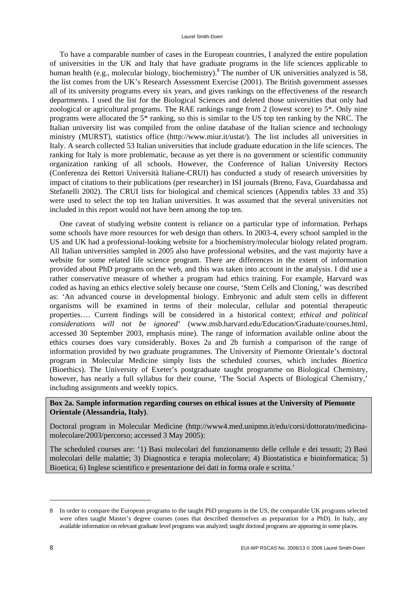To have a comparable number of cases in the European countries, I analyzed the entire population of universities in the UK and Italy that have graduate programs in the life sciences applicable to human health (e.g., molecular biology, biochemistry).<sup>8</sup> The number of UK universities analyzed is 58, the list comes from the UK's Research Assessment Exercise (2001). The British government assesses all of its university programs every six years, and gives rankings on the effectiveness of the research departments. I used the list for the Biological Sciences and deleted those universities that only had zoological or agricultural programs. The RAE rankings range from 2 (lowest score) to 5\*. Only nine programs were allocated the 5\* ranking, so this is similar to the US top ten ranking by the NRC. The Italian university list was compiled from the online database of the Italian science and technology ministry (MURST), statistics office (http://www.miur.it/ustat/). The list includes all universities in Italy. A search collected 53 Italian universities that include graduate education in the life sciences. The ranking for Italy is more problematic, because as yet there is no government or scientific community organization ranking of all schools. However, the Conference of Italian University Rectors (Conferenza dei Rettori Università Italiane-CRUI) has conducted a study of research universities by impact of citations to their publications (per researcher) in ISI journals (Breno, Fava, Guardabassa and Stefanelli 2002). The CRUI lists for biological and chemical sciences (Appendix tables 33 and 35) were used to select the top ten Italian universities. It was assumed that the several universities not included in this report would not have been among the top ten.

One caveat of studying website content is reliance on a particular type of information. Perhaps some schools have more resources for web design than others. In 2003-4, every school sampled in the US and UK had a professional-looking website for a biochemistry/molecular biology related program. All Italian universities sampled in 2005 also have professional websites, and the vast majority have a website for some related life science program. There are differences in the extent of information provided about PhD programs on the web, and this was taken into account in the analysis. I did use a rather conservative measure of whether a program had ethics training. For example, Harvard was coded as having an ethics elective solely because one course, 'Stem Cells and Cloning,' was described as: 'An advanced course in developmental biology. Embryonic and adult stem cells in different organisms will be examined in terms of their molecular, cellular and potential therapeutic properties…. Current findings will be considered in a historical context; *ethical and political considerations will not be ignored*' (www.msb.harvard.edu/Education/Graduate/courses.html, accessed 30 September 2003, emphasis mine). The range of information available online about the ethics courses does vary considerably. Boxes 2a and 2b furnish a comparison of the range of information provided by two graduate programmes. The University of Piemonte Orientale's doctoral program in Molecular Medicine simply lists the scheduled courses, which includes *Bioetica* (Bioethics). The University of Exeter's postgraduate taught programme on Biological Chemistry, however, has nearly a full syllabus for their course, 'The Social Aspects of Biological Chemistry,' including assignments and weekly topics.

#### **Box 2a. Sample information regarding courses on ethical issues at the University of Piemonte Orientale (Alessandria, Italy)**.

Doctoral program in Molecular Medicine (http://www4.med.unipmn.it/edu/corsi/dottorato/medicinamolecolare/2003/percorso; accessed 3 May 2005):

The scheduled courses are: '1) Basi molecolari del funzionamento delle cellule e dei tessuti; 2) Basi molecolari delle malattie; 3) Diagnostica e terapia molecolare; 4) Biostatistica e bioinformatica; 5) Bioetica; 6) Inglese scientifico e presentazione dei dati in forma orale e scritta.'

<sup>8</sup> In order to compare the European programs to the taught PhD programs in the US, the comparable UK programs selected were often taught Master's degree courses (ones that described themselves as preparation for a PhD). In Italy, any available information on relevant graduate level programs was analyzed; taught doctoral programs are appearing in some places.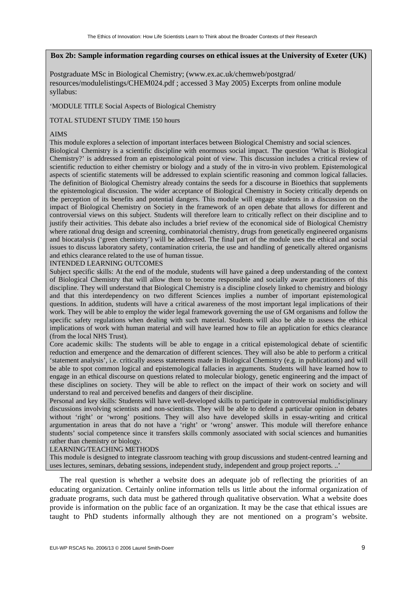#### **Box 2b: Sample information regarding courses on ethical issues at the University of Exeter (UK)**

Postgraduate MSc in Biological Chemistry; (www.ex.ac.uk/chemweb/postgrad/ resources/modulelistings/CHEM024.pdf ; accessed 3 May 2005) Excerpts from online module syllabus:

'MODULE TITLE Social Aspects of Biological Chemistry

#### TOTAL STUDENT STUDY TIME 150 hours

#### AIMS

This module explores a selection of important interfaces between Biological Chemistry and social sciences. Biological Chemistry is a scientific discipline with enormous social impact. The question 'What is Biological Chemistry?' is addressed from an epistemological point of view. This discussion includes a critical review of scientific reduction to either chemistry or biology and a study of the in vitro-in vivo problem. Epistemological aspects of scientific statements will be addressed to explain scientific reasoning and common logical fallacies. The definition of Biological Chemistry already contains the seeds for a discourse in Bioethics that supplements the epistemological discussion. The wider acceptance of Biological Chemistry in Society critically depends on the perception of its benefits and potential dangers. This module will engage students in a discussion on the impact of Biological Chemistry on Society in the framework of an open debate that allows for different and controversial views on this subject. Students will therefore learn to critically reflect on their discipline and to justify their activities. This debate also includes a brief review of the economical side of Biological Chemistry where rational drug design and screening, combinatorial chemistry, drugs from genetically engineered organisms and biocatalysis ('green chemistry') will be addressed. The final part of the module uses the ethical and social issues to discuss laboratory safety, contamination criteria, the use and handling of genetically altered organisms and ethics clearance related to the use of human tissue.

#### INTENDED LEARNING OUTCOMES

Subject specific skills: At the end of the module, students will have gained a deep understanding of the context of Biological Chemistry that will allow them to become responsible and socially aware practitioners of this discipline. They will understand that Biological Chemistry is a discipline closely linked to chemistry and biology and that this interdependency on two different Sciences implies a number of important epistemological questions. In addition, students will have a critical awareness of the most important legal implications of their work. They will be able to employ the wider legal framework governing the use of GM organisms and follow the specific safety regulations when dealing with such material. Students will also be able to assess the ethical implications of work with human material and will have learned how to file an application for ethics clearance (from the local NHS Trust).

Core academic skills: The students will be able to engage in a critical epistemological debate of scientific reduction and emergence and the demarcation of different sciences. They will also be able to perform a critical 'statement analysis', i.e. critically assess statements made in Biological Chemistry (e.g. in publications) and will be able to spot common logical and epistemological fallacies in arguments. Students will have learned how to engage in an ethical discourse on questions related to molecular biology, genetic engineering and the impact of these disciplines on society. They will be able to reflect on the impact of their work on society and will understand to real and perceived benefits and dangers of their discipline.

Personal and key skills: Students will have well-developed skills to participate in controversial multidisciplinary discussions involving scientists and non-scientists. They will be able to defend a particular opinion in debates without 'right' or 'wrong' positions. They will also have developed skills in essay-writing and critical argumentation in areas that do not have a 'right' or 'wrong' answer. This module will therefore enhance students' social competence since it transfers skills commonly associated with social sciences and humanities rather than chemistry or biology.

#### LEARNING/TEACHING METHODS

This module is designed to integrate classroom teaching with group discussions and student-centred learning and uses lectures, seminars, debating sessions, independent study, independent and group project reports. ..'

The real question is whether a website does an adequate job of reflecting the priorities of an educating organization. Certainly online information tells us little about the informal organization of graduate programs, such data must be gathered through qualitative observation. What a website does provide is information on the public face of an organization. It may be the case that ethical issues are taught to PhD students informally although they are not mentioned on a program's website.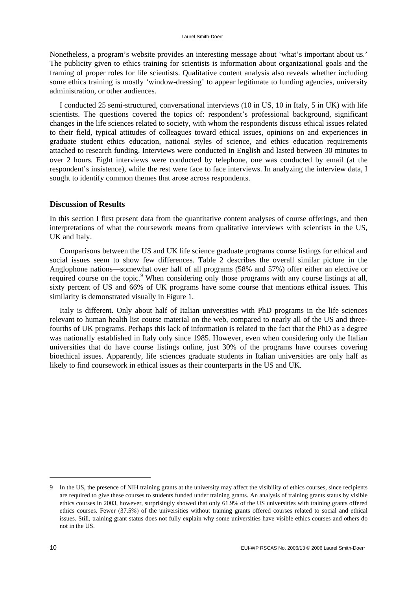Nonetheless, a program's website provides an interesting message about 'what's important about us.' The publicity given to ethics training for scientists is information about organizational goals and the framing of proper roles for life scientists. Qualitative content analysis also reveals whether including some ethics training is mostly 'window-dressing' to appear legitimate to funding agencies, university administration, or other audiences.

I conducted 25 semi-structured, conversational interviews (10 in US, 10 in Italy, 5 in UK) with life scientists. The questions covered the topics of: respondent's professional background, significant changes in the life sciences related to society, with whom the respondents discuss ethical issues related to their field, typical attitudes of colleagues toward ethical issues, opinions on and experiences in graduate student ethics education, national styles of science, and ethics education requirements attached to research funding. Interviews were conducted in English and lasted between 30 minutes to over 2 hours. Eight interviews were conducted by telephone, one was conducted by email (at the respondent's insistence), while the rest were face to face interviews. In analyzing the interview data, I sought to identify common themes that arose across respondents.

#### **Discussion of Results**

In this section I first present data from the quantitative content analyses of course offerings, and then interpretations of what the coursework means from qualitative interviews with scientists in the US, UK and Italy.

Comparisons between the US and UK life science graduate programs course listings for ethical and social issues seem to show few differences. Table 2 describes the overall similar picture in the Anglophone nations—somewhat over half of all programs (58% and 57%) offer either an elective or required course on the topic.<sup>9</sup> When considering only those programs with any course listings at all, sixty percent of US and 66% of UK programs have some course that mentions ethical issues. This similarity is demonstrated visually in Figure 1.

Italy is different. Only about half of Italian universities with PhD programs in the life sciences relevant to human health list course material on the web, compared to nearly all of the US and threefourths of UK programs. Perhaps this lack of information is related to the fact that the PhD as a degree was nationally established in Italy only since 1985. However, even when considering only the Italian universities that do have course listings online, just 30% of the programs have courses covering bioethical issues. Apparently, life sciences graduate students in Italian universities are only half as likely to find coursework in ethical issues as their counterparts in the US and UK.

<sup>9</sup> In the US, the presence of NIH training grants at the university may affect the visibility of ethics courses, since recipients are required to give these courses to students funded under training grants. An analysis of training grants status by visible ethics courses in 2003, however, surprisingly showed that only 61.9% of the US universities with training grants offered ethics courses. Fewer (37.5%) of the universities without training grants offered courses related to social and ethical issues. Still, training grant status does not fully explain why some universities have visible ethics courses and others do not in the US.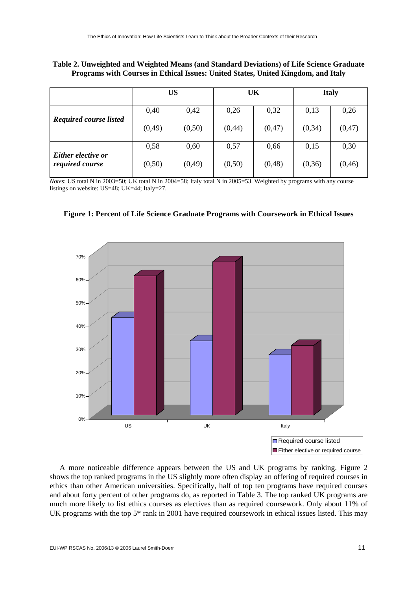| Table 2. Unweighted and Weighted Means (and Standard Deviations) of Life Science Graduate |
|-------------------------------------------------------------------------------------------|
| Programs with Courses in Ethical Issues: United States, United Kingdom, and Italy         |

|                                       | <b>US</b> |         |         | UK      | <b>Italy</b> |         |  |
|---------------------------------------|-----------|---------|---------|---------|--------------|---------|--|
|                                       | 0,40      | 0,42    | 0,26    | 0,32    | 0,13         | 0,26    |  |
| <b>Required course listed</b>         | (0, 49)   | (0,50)  | (0, 44) | (0,47)  | (0, 34)      | (0,47)  |  |
|                                       | 0,58      | 0,60    | 0,57    | 0,66    | 0,15         | 0,30    |  |
| Either elective or<br>required course | (0,50)    | (0, 49) | (0,50)  | (0, 48) | (0,36)       | (0, 46) |  |

*Notes*: US total N in 2003=50; UK total N in 2004=58; Italy total N in 2005=53. Weighted by programs with any course listings on website: US=48; UK=44; Italy=27.





A more noticeable difference appears between the US and UK programs by ranking. Figure 2 shows the top ranked programs in the US slightly more often display an offering of required courses in ethics than other American universities. Specifically, half of top ten programs have required courses and about forty percent of other programs do, as reported in Table 3. The top ranked UK programs are much more likely to list ethics courses as electives than as required coursework. Only about 11% of UK programs with the top 5\* rank in 2001 have required coursework in ethical issues listed. This may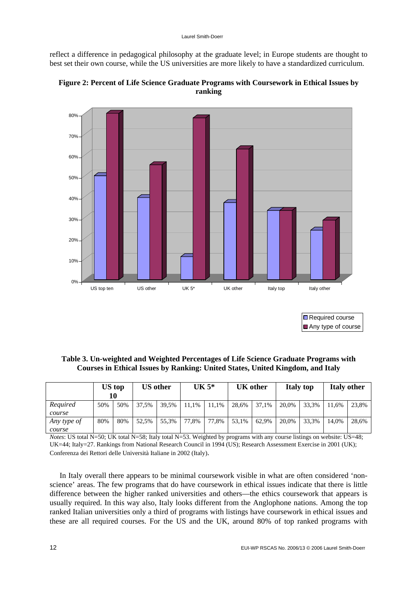reflect a difference in pedagogical philosophy at the graduate level; in Europe students are thought to best set their own course, while the US universities are more likely to have a standardized curriculum.



**Figure 2: Percent of Life Science Graduate Programs with Coursework in Ethical Issues by ranking** 

**□** Required course Any type of course

**Table 3. Un-weighted and Weighted Percentages of Life Science Graduate Programs with Courses in Ethical Issues by Ranking: United States, United Kingdom, and Italy** 

|             | <b>US</b> top<br>10 |     | <b>US</b> other |       | $UK 5*$ |       | <b>UK</b> other |       | <b>Italy top</b> |       | <b>Italy other</b> |       |
|-------------|---------------------|-----|-----------------|-------|---------|-------|-----------------|-------|------------------|-------|--------------------|-------|
| Required    | 50%                 | 50% | 37.5%           | 39.5% | 11.1%   | 11.1% | 28.6%           | 37.1% | 20.0%            | 33.3% | 11.6%              | 23.8% |
| course      |                     |     |                 |       |         |       |                 |       |                  |       |                    |       |
| Any type of | 80%                 | 80% | 52.5%           | 55.3% | 77.8%   | 77.8% | 53.1%           | 62.9% | 20.0%            | 33.3% | 14.0%              | 28.6% |
| course      |                     |     |                 |       |         |       |                 |       |                  |       |                    |       |

*Notes*: US total N=50; UK total N=58; Italy total N=53. Weighted by programs with any course listings on website: US=48; UK=44; Italy=27. Rankings from National Research Council in 1994 (US); Research Assessment Exercise in 2001 (UK); Conferenza dei Rettori delle Università Italiane in 2002 (Italy).

In Italy overall there appears to be minimal coursework visible in what are often considered 'nonscience' areas. The few programs that do have coursework in ethical issues indicate that there is little difference between the higher ranked universities and others—the ethics coursework that appears is usually required. In this way also, Italy looks different from the Anglophone nations. Among the top ranked Italian universities only a third of programs with listings have coursework in ethical issues and these are all required courses. For the US and the UK, around 80% of top ranked programs with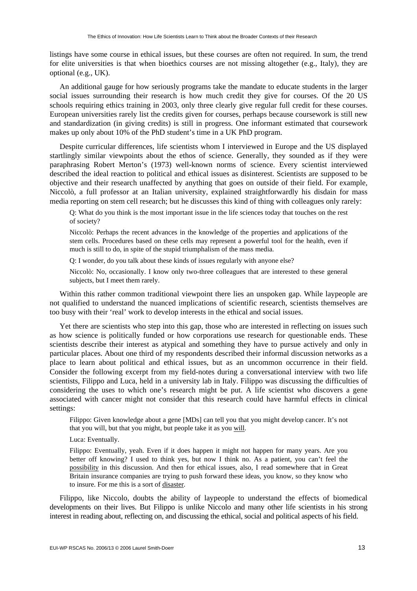listings have some course in ethical issues, but these courses are often not required. In sum, the trend for elite universities is that when bioethics courses are not missing altogether (e.g., Italy), they are optional (e.g., UK).

An additional gauge for how seriously programs take the mandate to educate students in the larger social issues surrounding their research is how much credit they give for courses. Of the 20 US schools requiring ethics training in 2003, only three clearly give regular full credit for these courses. European universities rarely list the credits given for courses, perhaps because coursework is still new and standardization (in giving credits) is still in progress. One informant estimated that coursework makes up only about 10% of the PhD student's time in a UK PhD program.

Despite curricular differences, life scientists whom I interviewed in Europe and the US displayed startlingly similar viewpoints about the ethos of science. Generally, they sounded as if they were paraphrasing Robert Merton's (1973) well-known norms of science. Every scientist interviewed described the ideal reaction to political and ethical issues as disinterest. Scientists are supposed to be objective and their research unaffected by anything that goes on outside of their field. For example, Niccolò, a full professor at an Italian university, explained straightforwardly his disdain for mass media reporting on stem cell research; but he discusses this kind of thing with colleagues only rarely:

Q: What do you think is the most important issue in the life sciences today that touches on the rest of society?

Niccolò: Perhaps the recent advances in the knowledge of the properties and applications of the stem cells. Procedures based on these cells may represent a powerful tool for the health, even if much is still to do, in spite of the stupid triumphalism of the mass media.

Q: I wonder, do you talk about these kinds of issues regularly with anyone else?

Niccolò: No, occasionally. I know only two-three colleagues that are interested to these general subjects, but I meet them rarely.

Within this rather common traditional viewpoint there lies an unspoken gap. While laypeople are not qualified to understand the nuanced implications of scientific research, scientists themselves are too busy with their 'real' work to develop interests in the ethical and social issues.

Yet there are scientists who step into this gap, those who are interested in reflecting on issues such as how science is politically funded or how corporations use research for questionable ends. These scientists describe their interest as atypical and something they have to pursue actively and only in particular places. About one third of my respondents described their informal discussion networks as a place to learn about political and ethical issues, but as an uncommon occurrence in their field. Consider the following excerpt from my field-notes during a conversational interview with two life scientists, Filippo and Luca, held in a university lab in Italy. Filippo was discussing the difficulties of considering the uses to which one's research might be put. A life scientist who discovers a gene associated with cancer might not consider that this research could have harmful effects in clinical settings:

Filippo: Given knowledge about a gene [MDs] can tell you that you might develop cancer. It's not that you will, but that you might, but people take it as you will.

Luca: Eventually.

Filippo: Eventually, yeah. Even if it does happen it might not happen for many years. Are you better off knowing? I used to think yes, but now I think no. As a patient, you can't feel the possibility in this discussion. And then for ethical issues, also, I read somewhere that in Great Britain insurance companies are trying to push forward these ideas, you know, so they know who to insure. For me this is a sort of disaster.

Filippo, like Niccolo, doubts the ability of laypeople to understand the effects of biomedical developments on their lives. But Filippo is unlike Niccolo and many other life scientists in his strong interest in reading about, reflecting on, and discussing the ethical, social and political aspects of his field.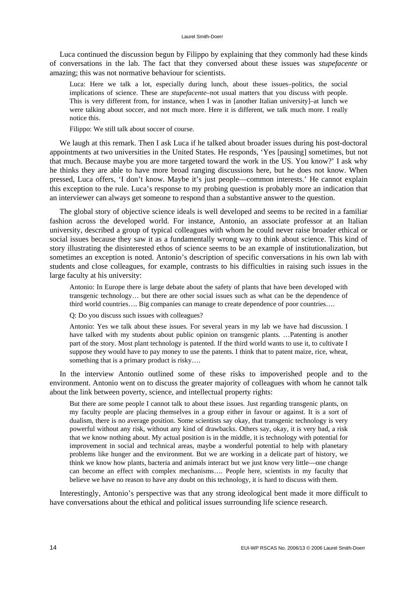Luca continued the discussion begun by Filippo by explaining that they commonly had these kinds of conversations in the lab. The fact that they conversed about these issues was *stupefacente* or amazing; this was not normative behaviour for scientists.

Luca: Here we talk a lot, especially during lunch, about these issues–politics, the social implications of science. These are *stupefacente*–not usual matters that you discuss with people. This is very different from, for instance, when I was in [another Italian university]–at lunch we were talking about soccer, and not much more. Here it is different, we talk much more. I really notice this.

Filippo: We still talk about soccer of course.

We laugh at this remark. Then I ask Luca if he talked about broader issues during his post-doctoral appointments at two universities in the United States. He responds, 'Yes [pausing] sometimes, but not that much. Because maybe you are more targeted toward the work in the US. You know?' I ask why he thinks they are able to have more broad ranging discussions here, but he does not know. When pressed, Luca offers, 'I don't know. Maybe it's just people—common interests.' He cannot explain this exception to the rule. Luca's response to my probing question is probably more an indication that an interviewer can always get someone to respond than a substantive answer to the question.

The global story of objective science ideals is well developed and seems to be recited in a familiar fashion across the developed world. For instance, Antonio, an associate professor at an Italian university, described a group of typical colleagues with whom he could never raise broader ethical or social issues because they saw it as a fundamentally wrong way to think about science. This kind of story illustrating the disinterested ethos of science seems to be an example of institutionalization, but sometimes an exception is noted. Antonio's description of specific conversations in his own lab with students and close colleagues, for example, contrasts to his difficulties in raising such issues in the large faculty at his university:

Antonio: In Europe there is large debate about the safety of plants that have been developed with transgenic technology… but there are other social issues such as what can be the dependence of third world countries…. Big companies can manage to create dependence of poor countries….

Q: Do you discuss such issues with colleagues?

Antonio: Yes we talk about these issues. For several years in my lab we have had discussion. I have talked with my students about public opinion on transgenic plants. …Patenting is another part of the story. Most plant technology is patented. If the third world wants to use it, to cultivate I suppose they would have to pay money to use the patents. I think that to patent maize, rice, wheat, something that is a primary product is risky....

In the interview Antonio outlined some of these risks to impoverished people and to the environment. Antonio went on to discuss the greater majority of colleagues with whom he cannot talk about the link between poverty, science, and intellectual property rights:

But there are some people I cannot talk to about these issues. Just regarding transgenic plants, on my faculty people are placing themselves in a group either in favour or against. It is a sort of dualism, there is no average position. Some scientists say okay, that transgenic technology is very powerful without any risk, without any kind of drawbacks. Others say, okay, it is very bad, a risk that we know nothing about. My actual position is in the middle, it is technology with potential for improvement in social and technical areas, maybe a wonderful potential to help with planetary problems like hunger and the environment. But we are working in a delicate part of history, we think we know how plants, bacteria and animals interact but we just know very little—one change can become an effect with complex mechanisms…. People here, scientists in my faculty that believe we have no reason to have any doubt on this technology, it is hard to discuss with them.

Interestingly, Antonio's perspective was that any strong ideological bent made it more difficult to have conversations about the ethical and political issues surrounding life science research.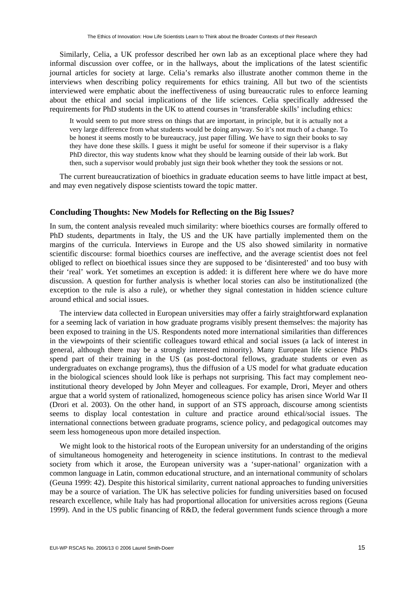Similarly, Celia, a UK professor described her own lab as an exceptional place where they had informal discussion over coffee, or in the hallways, about the implications of the latest scientific journal articles for society at large. Celia's remarks also illustrate another common theme in the interviews when describing policy requirements for ethics training. All but two of the scientists interviewed were emphatic about the ineffectiveness of using bureaucratic rules to enforce learning about the ethical and social implications of the life sciences. Celia specifically addressed the requirements for PhD students in the UK to attend courses in 'transferable skills' including ethics:

It would seem to put more stress on things that are important, in principle, but it is actually not a very large difference from what students would be doing anyway. So it's not much of a change. To be honest it seems mostly to be bureaucracy, just paper filling. We have to sign their books to say they have done these skills. I guess it might be useful for someone if their supervisor is a flaky PhD director, this way students know what they should be learning outside of their lab work. But then, such a supervisor would probably just sign their book whether they took the sessions or not.

The current bureaucratization of bioethics in graduate education seems to have little impact at best, and may even negatively dispose scientists toward the topic matter.

#### **Concluding Thoughts: New Models for Reflecting on the Big Issues?**

In sum, the content analysis revealed much similarity: where bioethics courses are formally offered to PhD students, departments in Italy, the US and the UK have partially implemented them on the margins of the curricula. Interviews in Europe and the US also showed similarity in normative scientific discourse: formal bioethics courses are ineffective, and the average scientist does not feel obliged to reflect on bioethical issues since they are supposed to be 'disinterested' and too busy with their 'real' work. Yet sometimes an exception is added: it is different here where we do have more discussion. A question for further analysis is whether local stories can also be institutionalized (the exception to the rule is also a rule), or whether they signal contestation in hidden science culture around ethical and social issues.

The interview data collected in European universities may offer a fairly straightforward explanation for a seeming lack of variation in how graduate programs visibly present themselves: the majority has been exposed to training in the US. Respondents noted more international similarities than differences in the viewpoints of their scientific colleagues toward ethical and social issues (a lack of interest in general, although there may be a strongly interested minority). Many European life science PhDs spend part of their training in the US (as post-doctoral fellows, graduate students or even as undergraduates on exchange programs), thus the diffusion of a US model for what graduate education in the biological sciences should look like is perhaps not surprising. This fact may complement neoinstitutional theory developed by John Meyer and colleagues. For example, Drori, Meyer and others argue that a world system of rationalized, homogeneous science policy has arisen since World War II (Drori et al. 2003). On the other hand, in support of an STS approach, discourse among scientists seems to display local contestation in culture and practice around ethical/social issues. The international connections between graduate programs, science policy, and pedagogical outcomes may seem less homogeneous upon more detailed inspection.

We might look to the historical roots of the European university for an understanding of the origins of simultaneous homogeneity and heterogeneity in science institutions. In contrast to the medieval society from which it arose, the European university was a 'super-national' organization with a common language in Latin, common educational structure, and an international community of scholars (Geuna 1999: 42). Despite this historical similarity, current national approaches to funding universities may be a source of variation. The UK has selective policies for funding universities based on focused research excellence, while Italy has had proportional allocation for universities across regions (Geuna 1999). And in the US public financing of R&D, the federal government funds science through a more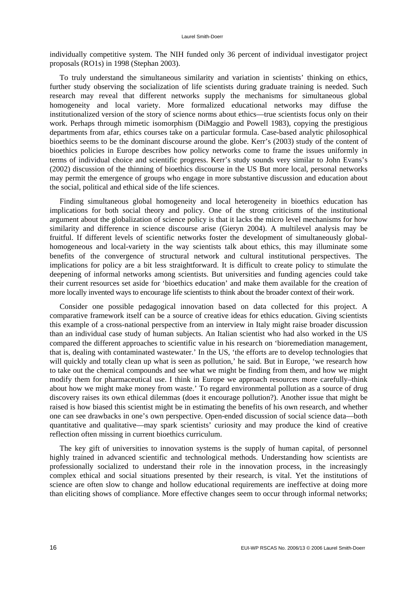individually competitive system. The NIH funded only 36 percent of individual investigator project proposals (RO1s) in 1998 (Stephan 2003).

To truly understand the simultaneous similarity and variation in scientists' thinking on ethics, further study observing the socialization of life scientists during graduate training is needed. Such research may reveal that different networks supply the mechanisms for simultaneous global homogeneity and local variety. More formalized educational networks may diffuse the institutionalized version of the story of science norms about ethics—true scientists focus only on their work. Perhaps through mimetic isomorphism (DiMaggio and Powell 1983), copying the prestigious departments from afar, ethics courses take on a particular formula. Case-based analytic philosophical bioethics seems to be the dominant discourse around the globe. Kerr's (2003) study of the content of bioethics policies in Europe describes how policy networks come to frame the issues uniformly in terms of individual choice and scientific progress. Kerr's study sounds very similar to John Evans's (2002) discussion of the thinning of bioethics discourse in the US But more local, personal networks may permit the emergence of groups who engage in more substantive discussion and education about the social, political and ethical side of the life sciences.

Finding simultaneous global homogeneity and local heterogeneity in bioethics education has implications for both social theory and policy. One of the strong criticisms of the institutional argument about the globalization of science policy is that it lacks the micro level mechanisms for how similarity and difference in science discourse arise (Gieryn 2004). A multilevel analysis may be fruitful. If different levels of scientific networks foster the development of simultaneously globalhomogeneous and local-variety in the way scientists talk about ethics, this may illuminate some benefits of the convergence of structural network and cultural institutional perspectives. The implications for policy are a bit less straightforward. It is difficult to create policy to stimulate the deepening of informal networks among scientists. But universities and funding agencies could take their current resources set aside for 'bioethics education' and make them available for the creation of more locally invented ways to encourage life scientists to think about the broader context of their work.

Consider one possible pedagogical innovation based on data collected for this project. A comparative framework itself can be a source of creative ideas for ethics education. Giving scientists this example of a cross-national perspective from an interview in Italy might raise broader discussion than an individual case study of human subjects. An Italian scientist who had also worked in the US compared the different approaches to scientific value in his research on 'bioremediation management, that is, dealing with contaminated wastewater.' In the US, 'the efforts are to develop technologies that will quickly and totally clean up what is seen as pollution,' he said. But in Europe, 'we research how to take out the chemical compounds and see what we might be finding from them, and how we might modify them for pharmaceutical use. I think in Europe we approach resources more carefully–think about how we might make money from waste.' To regard environmental pollution as a source of drug discovery raises its own ethical dilemmas (does it encourage pollution?). Another issue that might be raised is how biased this scientist might be in estimating the benefits of his own research, and whether one can see drawbacks in one's own perspective. Open-ended discussion of social science data—both quantitative and qualitative—may spark scientists' curiosity and may produce the kind of creative reflection often missing in current bioethics curriculum.

The key gift of universities to innovation systems is the supply of human capital, of personnel highly trained in advanced scientific and technological methods. Understanding how scientists are professionally socialized to understand their role in the innovation process, in the increasingly complex ethical and social situations presented by their research, is vital. Yet the institutions of science are often slow to change and hollow educational requirements are ineffective at doing more than eliciting shows of compliance. More effective changes seem to occur through informal networks;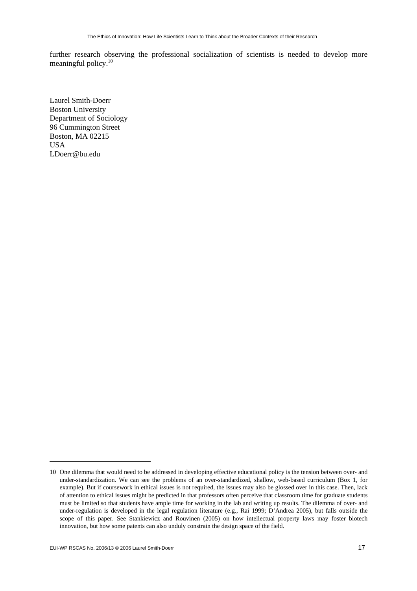further research observing the professional socialization of scientists is needed to develop more meaningful policy.<sup>10</sup>

Laurel Smith-Doerr Boston University Department of Sociology 96 Cummington Street Boston, MA 02215 **IISA** LDoerr@bu.edu

 $\overline{a}$ 

<sup>10</sup> One dilemma that would need to be addressed in developing effective educational policy is the tension between over- and under-standardization. We can see the problems of an over-standardized, shallow, web-based curriculum (Box 1, for example). But if coursework in ethical issues is not required, the issues may also be glossed over in this case. Then, lack of attention to ethical issues might be predicted in that professors often perceive that classroom time for graduate students must be limited so that students have ample time for working in the lab and writing up results. The dilemma of over- and under-regulation is developed in the legal regulation literature (e.g., Rai 1999; D'Andrea 2005), but falls outside the scope of this paper. See Stankiewicz and Rouvinen (2005) on how intellectual property laws may foster biotech innovation, but how some patents can also unduly constrain the design space of the field.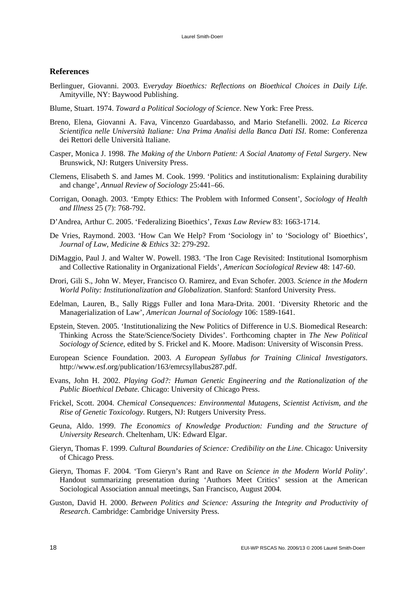#### **References**

- Berlinguer, Giovanni. 2003. E*veryday Bioethics: Reflections on Bioethical Choices in Daily Life.* Amityville, NY: Baywood Publishing.
- Blume, Stuart. 1974. *Toward a Political Sociology of Science*. New York: Free Press.
- Breno, Elena, Giovanni A. Fava, Vincenzo Guardabasso, and Mario Stefanelli. 2002. *La Ricerca Scientifica nelle Università Italiane: Una Prima Analisi della Banca Dati ISI*. Rome: Conferenza dei Rettori delle Università Italiane.
- Casper, Monica J. 1998. *The Making of the Unborn Patient: A Social Anatomy of Fetal Surgery*. New Brunswick, NJ: Rutgers University Press.
- Clemens, Elisabeth S. and James M. Cook. 1999. 'Politics and institutionalism: Explaining durability and change', *Annual Review of Sociology* 25:441–66.
- Corrigan, Oonagh. 2003. 'Empty Ethics: The Problem with Informed Consent', *Sociology of Health and Illness* 25 (7): 768-792.
- D'Andrea, Arthur C. 2005. 'Federalizing Bioethics', *Texas Law Review* 83: 1663-1714.
- De Vries, Raymond. 2003. 'How Can We Help? From 'Sociology in' to 'Sociology of' Bioethics', *Journal of Law, Medicine & Ethics* 32: 279-292.
- DiMaggio, Paul J. and Walter W. Powell. 1983. 'The Iron Cage Revisited: Institutional Isomorphism and Collective Rationality in Organizational Fields', *American Sociological Review* 48: 147-60.
- Drori, Gili S., John W. Meyer, Francisco O. Ramirez, and Evan Schofer. 2003. *Science in the Modern World Polity: Institutionalization and Globalization*. Stanford: Stanford University Press.
- Edelman, Lauren, B., Sally Riggs Fuller and Iona Mara-Drita. 2001. 'Diversity Rhetoric and the Managerialization of Law', *American Journal of Sociology* 106: 1589-1641.
- Epstein, Steven. 2005. 'Institutionalizing the New Politics of Difference in U.S. Biomedical Research: Thinking Across the State/Science/Society Divides'. Forthcoming chapter in *The New Political Sociology of Science*, edited by S. Frickel and K. Moore. Madison: University of Wisconsin Press.
- European Science Foundation. 2003. *A European Syllabus for Training Clinical Investigators*. http://www.esf.org/publication/163/emrcsyllabus287.pdf.
- Evans, John H. 2002. *Playing God?: Human Genetic Engineering and the Rationalization of the Public Bioethical Debate.* Chicago: University of Chicago Press.
- Frickel, Scott. 2004. *Chemical Consequences: Environmental Mutagens, Scientist Activism, and the Rise of Genetic Toxicology*. Rutgers, NJ: Rutgers University Press.
- Geuna, Aldo. 1999. *The Economics of Knowledge Production: Funding and the Structure of University Research*. Cheltenham, UK: Edward Elgar.
- Gieryn, Thomas F. 1999. *Cultural Boundaries of Science: Credibility on the Line*. Chicago: University of Chicago Press.
- Gieryn, Thomas F. 2004. 'Tom Gieryn's Rant and Rave on *Science in the Modern World Polity*'. Handout summarizing presentation during 'Authors Meet Critics' session at the American Sociological Association annual meetings, San Francisco, August 2004.
- Guston, David H. 2000. *Between Politics and Science: Assuring the Integrity and Productivity of Research*. Cambridge: Cambridge University Press.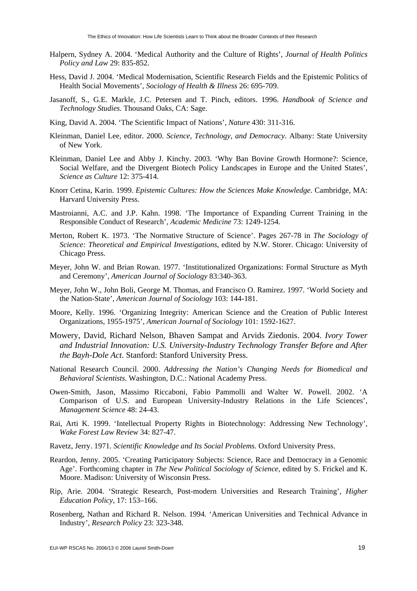- Halpern, Sydney A. 2004. 'Medical Authority and the Culture of Rights', *Journal of Health Politics Policy and Law* 29: 835-852.
- Hess, David J. 2004. 'Medical Modernisation, Scientific Research Fields and the Epistemic Politics of Health Social Movements', *Sociology of Health & Illness* 26: 695-709.
- Jasanoff, S., G.E. Markle, J.C. Petersen and T. Pinch, editors. 1996. *Handbook of Science and Technology Studies.* Thousand Oaks, CA: Sage.
- King, David A. 2004. 'The Scientific Impact of Nations', *Nature* 430: 311-316.
- Kleinman, Daniel Lee, editor. 2000. *Science, Technology, and Democracy*. Albany: State University of New York.
- Kleinman, Daniel Lee and Abby J. Kinchy. 2003. 'Why Ban Bovine Growth Hormone?: Science, Social Welfare, and the Divergent Biotech Policy Landscapes in Europe and the United States', *Science as Culture* 12: 375-414.
- Knorr Cetina, Karin. 1999. *Epistemic Cultures: How the Sciences Make Knowledge*. Cambridge, MA: Harvard University Press.
- Mastroianni, A.C. and J.P. Kahn. 1998. 'The Importance of Expanding Current Training in the Responsible Conduct of Research', *Academic Medicine* 73: 1249-1254.
- Merton, Robert K. 1973. 'The Normative Structure of Science'. Pages 267-78 in *The Sociology of Science: Theoretical and Empirical Investigations*, edited by N.W. Storer. Chicago: University of Chicago Press.
- Meyer, John W. and Brian Rowan. 1977. 'Institutionalized Organizations: Formal Structure as Myth and Ceremony', *American Journal of Sociology* 83:340-363.
- Meyer, John W., John Boli, George M. Thomas, and Francisco O. Ramirez. 1997. 'World Society and the Nation-State', *American Journal of Sociology* 103: 144-181.
- Moore, Kelly. 1996. 'Organizing Integrity: American Science and the Creation of Public Interest Organizations, 1955-1975', *American Journal of Sociology* 101: 1592-1627.
- Mowery, David, Richard Nelson, Bhaven Sampat and Arvids Ziedonis. 2004. *Ivory Tower and Industrial Innovation: U.S. University-Industry Technology Transfer Before and After the Bayh-Dole Act*. Stanford: Stanford University Press.
- National Research Council. 2000. *Addressing the Nation's Changing Needs for Biomedical and Behavioral Scientists*. Washington, D.C.: National Academy Press.
- Owen-Smith, Jason, Massimo Riccaboni, Fabio Pammolli and Walter W. Powell. 2002. 'A Comparison of U.S. and European University-Industry Relations in the Life Sciences', *Management Science* 48: 24-43.
- Rai, Arti K. 1999. 'Intellectual Property Rights in Biotechnology: Addressing New Technology', *Wake Forest Law Review* 34: 827-47.
- Ravetz, Jerry. 1971. *Scientific Knowledge and Its Social Problems*. Oxford University Press.
- Reardon, Jenny. 2005. 'Creating Participatory Subjects: Science, Race and Democracy in a Genomic Age'. Forthcoming chapter in *The New Political Sociology of Science*, edited by S. Frickel and K. Moore. Madison: University of Wisconsin Press.
- Rip, Arie. 2004. 'Strategic Research, Post-modern Universities and Research Training', *Higher Education Policy*, 17: 153–166.
- Rosenberg, Nathan and Richard R. Nelson. 1994. 'American Universities and Technical Advance in Industry', *Research Policy* 23: 323-348.